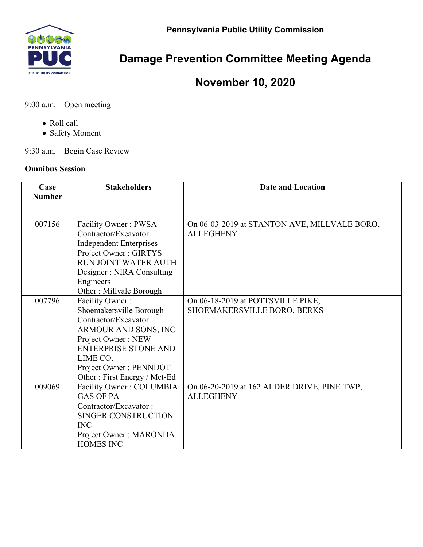**Pennsylvania Public Utility Commission** 



## **Damage Prevention Committee Meeting Agenda**

## **November 10, 2020**

9:00 a.m. Open meeting

- Roll call
- Safety Moment

9:30 a.m. Begin Case Review

## **Omnibus Session**

| Case<br><b>Number</b> | <b>Stakeholders</b>            | <b>Date and Location</b>                     |
|-----------------------|--------------------------------|----------------------------------------------|
|                       |                                |                                              |
| 007156                | Facility Owner: PWSA           | On 06-03-2019 at STANTON AVE, MILLVALE BORO, |
|                       | Contractor/Excavator:          | <b>ALLEGHENY</b>                             |
|                       | <b>Independent Enterprises</b> |                                              |
|                       | Project Owner: GIRTYS          |                                              |
|                       | <b>RUN JOINT WATER AUTH</b>    |                                              |
|                       | Designer: NIRA Consulting      |                                              |
|                       | Engineers                      |                                              |
|                       | Other: Millvale Borough        |                                              |
| 007796                | Facility Owner:                | On 06-18-2019 at POTTSVILLE PIKE,            |
|                       | Shoemakersville Borough        | SHOEMAKERSVILLE BORO, BERKS                  |
|                       | Contractor/Excavator:          |                                              |
|                       | ARMOUR AND SONS, INC           |                                              |
|                       | Project Owner: NEW             |                                              |
|                       | <b>ENTERPRISE STONE AND</b>    |                                              |
|                       | LIME CO.                       |                                              |
|                       | Project Owner: PENNDOT         |                                              |
|                       | Other: First Energy / Met-Ed   |                                              |
| 009069                | Facility Owner: COLUMBIA       | On 06-20-2019 at 162 ALDER DRIVE, PINE TWP,  |
|                       | <b>GAS OF PA</b>               | <b>ALLEGHENY</b>                             |
|                       | Contractor/Excavator:          |                                              |
|                       | SINGER CONSTRUCTION            |                                              |
|                       | <b>INC</b>                     |                                              |
|                       | Project Owner: MARONDA         |                                              |
|                       | <b>HOMES INC</b>               |                                              |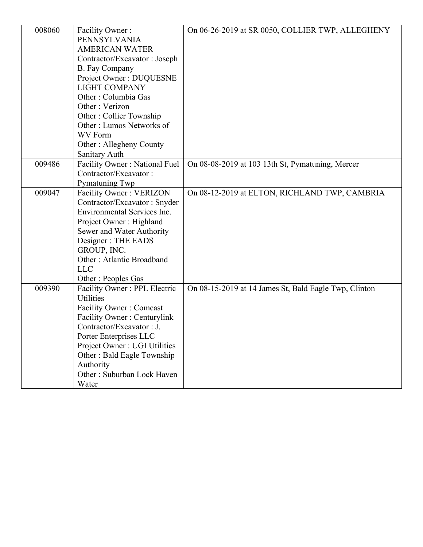| 008060 | Facility Owner:<br>PENNSYLVANIA<br><b>AMERICAN WATER</b><br>Contractor/Excavator: Joseph<br>B. Fay Company<br>Project Owner: DUQUESNE<br><b>LIGHT COMPANY</b><br>Other: Columbia Gas                                                                                                      | On 06-26-2019 at SR 0050, COLLIER TWP, ALLEGHENY      |
|--------|-------------------------------------------------------------------------------------------------------------------------------------------------------------------------------------------------------------------------------------------------------------------------------------------|-------------------------------------------------------|
|        | Other: Verizon<br>Other: Collier Township<br>Other: Lumos Networks of<br><b>WV</b> Form<br>Other: Allegheny County                                                                                                                                                                        |                                                       |
| 009486 | Sanitary Auth<br>Facility Owner: National Fuel<br>Contractor/Excavator:<br>Pymatuning Twp                                                                                                                                                                                                 | On 08-08-2019 at 103 13th St, Pymatuning, Mercer      |
| 009047 | Facility Owner: VERIZON<br>Contractor/Excavator: Snyder<br>Environmental Services Inc.<br>Project Owner: Highland<br>Sewer and Water Authority<br>Designer: THE EADS<br>GROUP, INC.<br>Other: Atlantic Broadband<br><b>LLC</b><br>Other: Peoples Gas                                      | On 08-12-2019 at ELTON, RICHLAND TWP, CAMBRIA         |
| 009390 | Facility Owner: PPL Electric<br><b>Utilities</b><br><b>Facility Owner: Comcast</b><br>Facility Owner: Centurylink<br>Contractor/Excavator: J.<br>Porter Enterprises LLC<br>Project Owner: UGI Utilities<br>Other: Bald Eagle Township<br>Authority<br>Other: Suburban Lock Haven<br>Water | On 08-15-2019 at 14 James St, Bald Eagle Twp, Clinton |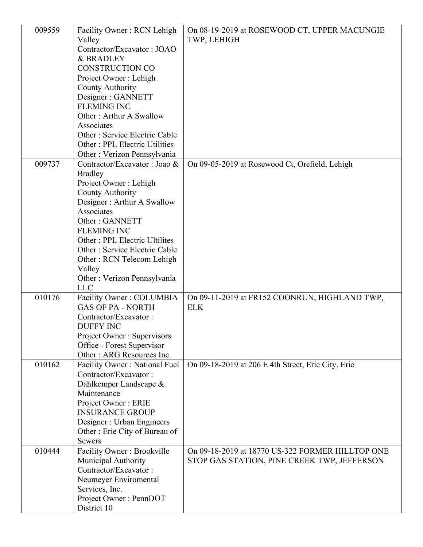| 009559 | Facility Owner: RCN Lehigh              | On 08-19-2019 at ROSEWOOD CT, UPPER MACUNGIE       |
|--------|-----------------------------------------|----------------------------------------------------|
|        | Valley                                  | TWP, LEHIGH                                        |
|        | Contractor/Excavator: JOAO              |                                                    |
|        | & BRADLEY                               |                                                    |
|        | <b>CONSTRUCTION CO</b>                  |                                                    |
|        | Project Owner: Lehigh                   |                                                    |
|        | <b>County Authority</b>                 |                                                    |
|        | Designer: GANNETT                       |                                                    |
|        | <b>FLEMING INC</b>                      |                                                    |
|        | Other: Arthur A Swallow                 |                                                    |
|        | Associates                              |                                                    |
|        | Other: Service Electric Cable           |                                                    |
|        | Other: PPL Electric Utilities           |                                                    |
|        | Other: Verizon Pennsylvania             |                                                    |
| 009737 | Contractor/Excavator: Joao &            | On 09-05-2019 at Rosewood Ct, Orefield, Lehigh     |
|        | <b>Bradley</b><br>Project Owner: Lehigh |                                                    |
|        | <b>County Authority</b>                 |                                                    |
|        | Designer: Arthur A Swallow              |                                                    |
|        | Associates                              |                                                    |
|        | Other: GANNETT                          |                                                    |
|        | <b>FLEMING INC</b>                      |                                                    |
|        | Other : PPL Electric Ultilites          |                                                    |
|        | Other: Service Electric Cable           |                                                    |
|        | Other: RCN Telecom Lehigh               |                                                    |
|        | Valley                                  |                                                    |
|        | Other: Verizon Pennsylvania             |                                                    |
|        | <b>LLC</b>                              |                                                    |
| 010176 | Facility Owner: COLUMBIA                | On 09-11-2019 at FR152 COONRUN, HIGHLAND TWP,      |
|        | <b>GAS OF PA - NORTH</b>                | <b>ELK</b>                                         |
|        | Contractor/Excavator:                   |                                                    |
|        | DUFFY INC                               |                                                    |
|        | Project Owner: Supervisors              |                                                    |
|        | Office - Forest Supervisor              |                                                    |
|        | Other: ARG Resources Inc.               |                                                    |
| 010162 | Facility Owner: National Fuel           | On 09-18-2019 at 206 E 4th Street, Erie City, Erie |
|        | Contractor/Excavator:                   |                                                    |
|        | Dahlkemper Landscape &                  |                                                    |
|        | Maintenance<br>Project Owner: ERIE      |                                                    |
|        | <b>INSURANCE GROUP</b>                  |                                                    |
|        | Designer : Urban Engineers              |                                                    |
|        | Other: Erie City of Bureau of           |                                                    |
|        | <b>Sewers</b>                           |                                                    |
| 010444 | Facility Owner: Brookville              | On 09-18-2019 at 18770 US-322 FORMER HILLTOP ONE   |
|        | Municipal Authority                     | STOP GAS STATION, PINE CREEK TWP, JEFFERSON        |
|        | Contractor/Excavator:                   |                                                    |
|        | Neumeyer Enviromental                   |                                                    |
|        | Services, Inc.                          |                                                    |
|        | Project Owner: PennDOT                  |                                                    |
|        | District 10                             |                                                    |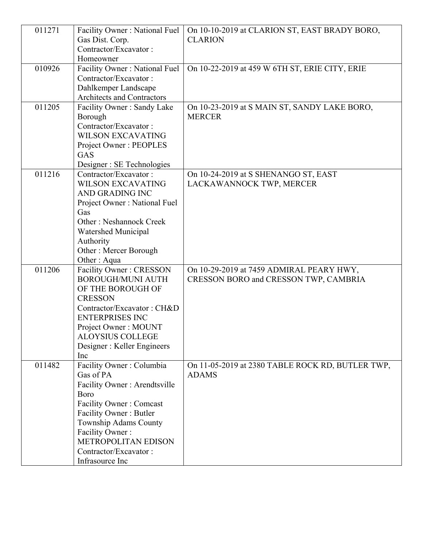| 011271 | Facility Owner: National Fuel                             | On 10-10-2019 at CLARION ST, EAST BRADY BORO,                 |
|--------|-----------------------------------------------------------|---------------------------------------------------------------|
|        | Gas Dist. Corp.<br>Contractor/Excavator:                  | <b>CLARION</b>                                                |
|        |                                                           |                                                               |
| 010926 | Homeowner                                                 |                                                               |
|        | Facility Owner: National Fuel                             | On 10-22-2019 at 459 W 6TH ST, ERIE CITY, ERIE                |
|        | Contractor/Excavator:                                     |                                                               |
|        | Dahlkemper Landscape<br><b>Architects and Contractors</b> |                                                               |
| 011205 |                                                           |                                                               |
|        | Facility Owner: Sandy Lake<br>Borough                     | On 10-23-2019 at S MAIN ST, SANDY LAKE BORO,<br><b>MERCER</b> |
|        | Contractor/Excavator:                                     |                                                               |
|        | <b>WILSON EXCAVATING</b>                                  |                                                               |
|        |                                                           |                                                               |
|        | Project Owner: PEOPLES<br>GAS                             |                                                               |
|        | Designer : SE Technologies                                |                                                               |
| 011216 | Contractor/Excavator:                                     | On 10-24-2019 at S SHENANGO ST, EAST                          |
|        | <b>WILSON EXCAVATING</b>                                  | LACKAWANNOCK TWP, MERCER                                      |
|        | AND GRADING INC                                           |                                                               |
|        | Project Owner: National Fuel                              |                                                               |
|        | Gas                                                       |                                                               |
|        | <b>Other: Neshannock Creek</b>                            |                                                               |
|        | Watershed Municipal                                       |                                                               |
|        | Authority                                                 |                                                               |
|        | Other: Mercer Borough                                     |                                                               |
|        | Other: Aqua                                               |                                                               |
| 011206 | Facility Owner: CRESSON                                   | On 10-29-2019 at 7459 ADMIRAL PEARY HWY,                      |
|        | <b>BOROUGH/MUNI AUTH</b>                                  | CRESSON BORO and CRESSON TWP, CAMBRIA                         |
|        | OF THE BOROUGH OF                                         |                                                               |
|        | <b>CRESSON</b>                                            |                                                               |
|        | Contractor/Excavator: CH&D                                |                                                               |
|        | <b>ENTERPRISES INC</b>                                    |                                                               |
|        | Project Owner: MOUNT                                      |                                                               |
|        | <b>ALOYSIUS COLLEGE</b>                                   |                                                               |
|        | Designer: Keller Engineers                                |                                                               |
|        | Inc                                                       |                                                               |
| 011482 | Facility Owner: Columbia                                  | On 11-05-2019 at 2380 TABLE ROCK RD, BUTLER TWP,              |
|        | Gas of PA                                                 | <b>ADAMS</b>                                                  |
|        | Facility Owner: Arendtsville                              |                                                               |
|        | <b>B</b> oro                                              |                                                               |
|        | <b>Facility Owner: Comcast</b>                            |                                                               |
|        | Facility Owner: Butler                                    |                                                               |
|        | Township Adams County                                     |                                                               |
|        | Facility Owner:<br>METROPOLITAN EDISON                    |                                                               |
|        | Contractor/Excavator:                                     |                                                               |
|        | Infrasource Inc                                           |                                                               |
|        |                                                           |                                                               |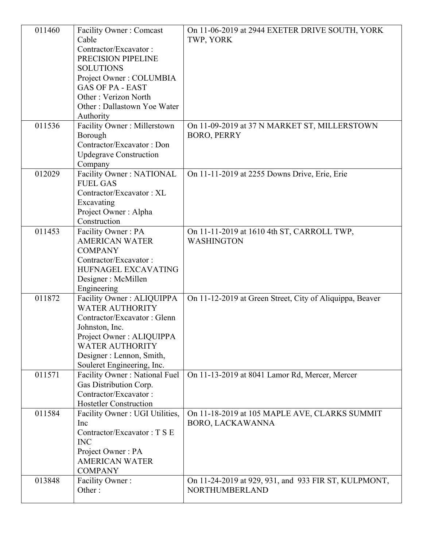| 011460<br>011536 | <b>Facility Owner: Comcast</b><br>Cable<br>Contractor/Excavator:<br>PRECISION PIPELINE<br><b>SOLUTIONS</b><br>Project Owner: COLUMBIA<br><b>GAS OF PA - EAST</b><br>Other: Verizon North<br>Other: Dallastown Yoe Water<br>Authority<br>Facility Owner: Millerstown<br>Borough<br>Contractor/Excavator: Don<br><b>Updegrave Construction</b> | On 11-06-2019 at 2944 EXETER DRIVE SOUTH, YORK<br>TWP, YORK<br>On 11-09-2019 at 37 N MARKET ST, MILLERSTOWN<br><b>BORO, PERRY</b> |
|------------------|----------------------------------------------------------------------------------------------------------------------------------------------------------------------------------------------------------------------------------------------------------------------------------------------------------------------------------------------|-----------------------------------------------------------------------------------------------------------------------------------|
| 012029           | Company<br>Facility Owner: NATIONAL<br><b>FUEL GAS</b><br>Contractor/Excavator: XL<br>Excavating<br>Project Owner: Alpha<br>Construction                                                                                                                                                                                                     | On 11-11-2019 at 2255 Downs Drive, Erie, Erie                                                                                     |
| 011453           | Facility Owner: PA<br><b>AMERICAN WATER</b><br><b>COMPANY</b><br>Contractor/Excavator:<br>HUFNAGEL EXCAVATING<br>Designer : McMillen<br>Engineering                                                                                                                                                                                          | On 11-11-2019 at 1610 4th ST, CARROLL TWP,<br><b>WASHINGTON</b>                                                                   |
| 011872           | Facility Owner: ALIQUIPPA<br><b>WATER AUTHORITY</b><br>Contractor/Excavator: Glenn<br>Johnston, Inc.<br>Project Owner: ALIQUIPPA<br><b>WATER AUTHORITY</b><br>Designer : Lennon, Smith,<br>Souleret Engineering, Inc.                                                                                                                        | On 11-12-2019 at Green Street, City of Aliquippa, Beaver                                                                          |
| 011571           | Facility Owner: National Fuel<br>Gas Distribution Corp.<br>Contractor/Excavator:<br><b>Hostetler Construction</b>                                                                                                                                                                                                                            | On 11-13-2019 at 8041 Lamor Rd, Mercer, Mercer                                                                                    |
| 011584           | Facility Owner : UGI Utilities,<br>Inc<br>Contractor/Excavator: TSE<br><b>INC</b><br>Project Owner: PA<br><b>AMERICAN WATER</b><br><b>COMPANY</b>                                                                                                                                                                                            | On 11-18-2019 at 105 MAPLE AVE, CLARKS SUMMIT<br><b>BORO, LACKAWANNA</b>                                                          |
| 013848           | Facility Owner:<br>Other:                                                                                                                                                                                                                                                                                                                    | On 11-24-2019 at 929, 931, and 933 FIR ST, KULPMONT,<br>NORTHUMBERLAND                                                            |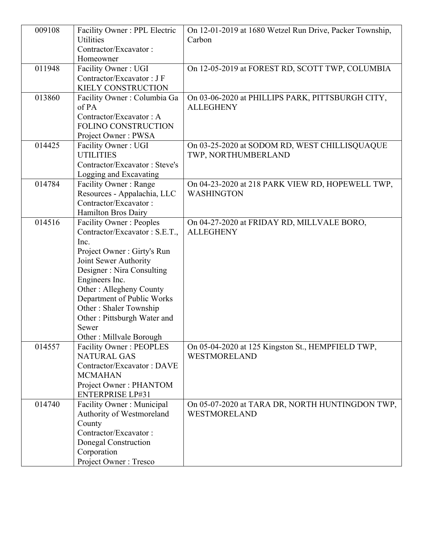| 009108 | Facility Owner: PPL Electric                         | On 12-01-2019 at 1680 Wetzel Run Drive, Packer Township,          |
|--------|------------------------------------------------------|-------------------------------------------------------------------|
|        | <b>Utilities</b>                                     | Carbon                                                            |
|        | Contractor/Excavator:                                |                                                                   |
|        | Homeowner                                            |                                                                   |
| 011948 | Facility Owner: UGI                                  | On 12-05-2019 at FOREST RD, SCOTT TWP, COLUMBIA                   |
|        | Contractor/Excavator: JF                             |                                                                   |
|        | KIELY CONSTRUCTION                                   |                                                                   |
| 013860 | Facility Owner: Columbia Ga                          | On 03-06-2020 at PHILLIPS PARK, PITTSBURGH CITY,                  |
|        | of PA                                                | <b>ALLEGHENY</b>                                                  |
|        | Contractor/Excavator: A                              |                                                                   |
|        | <b>FOLINO CONSTRUCTION</b>                           |                                                                   |
|        | Project Owner: PWSA                                  |                                                                   |
| 014425 | Facility Owner: UGI<br><b>UTILITIES</b>              | On 03-25-2020 at SODOM RD, WEST CHILLISQUAQUE                     |
|        | Contractor/Excavator: Steve's                        | TWP, NORTHUMBERLAND                                               |
|        | Logging and Excavating                               |                                                                   |
| 014784 | Facility Owner: Range                                | On 04-23-2020 at 218 PARK VIEW RD, HOPEWELL TWP,                  |
|        | Resources - Appalachia, LLC                          | <b>WASHINGTON</b>                                                 |
|        | Contractor/Excavator:                                |                                                                   |
|        | Hamilton Bros Dairy                                  |                                                                   |
| 014516 | <b>Facility Owner: Peoples</b>                       | On 04-27-2020 at FRIDAY RD, MILLVALE BORO,                        |
|        | Contractor/Excavator: S.E.T.,                        | <b>ALLEGHENY</b>                                                  |
|        | Inc.                                                 |                                                                   |
|        | Project Owner: Girty's Run                           |                                                                   |
|        | Joint Sewer Authority                                |                                                                   |
|        | Designer: Nira Consulting                            |                                                                   |
|        | Engineers Inc.                                       |                                                                   |
|        | Other: Allegheny County                              |                                                                   |
|        | Department of Public Works                           |                                                                   |
|        | Other: Shaler Township                               |                                                                   |
|        | Other: Pittsburgh Water and                          |                                                                   |
|        | Sewer                                                |                                                                   |
|        | Other: Millvale Borough                              |                                                                   |
| 014557 | <b>Facility Owner: PEOPLES</b><br><b>NATURAL GAS</b> | On 05-04-2020 at 125 Kingston St., HEMPFIELD TWP,<br>WESTMORELAND |
|        | Contractor/Excavator: DAVE                           |                                                                   |
|        | <b>MCMAHAN</b>                                       |                                                                   |
|        | Project Owner: PHANTOM                               |                                                                   |
|        | <b>ENTERPRISE LP#31</b>                              |                                                                   |
| 014740 | Facility Owner: Municipal                            | On 05-07-2020 at TARA DR, NORTH HUNTINGDON TWP,                   |
|        | Authority of Westmoreland                            | WESTMORELAND                                                      |
|        | County                                               |                                                                   |
|        | Contractor/Excavator:                                |                                                                   |
|        | Donegal Construction                                 |                                                                   |
|        | Corporation                                          |                                                                   |
|        | Project Owner: Tresco                                |                                                                   |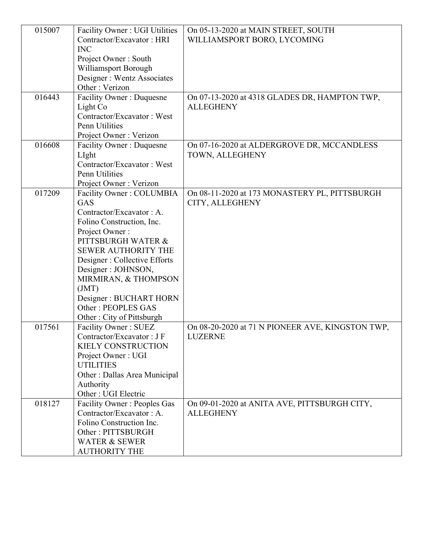| 015007 | Facility Owner: UGI Utilities                | On 05-13-2020 at MAIN STREET, SOUTH              |
|--------|----------------------------------------------|--------------------------------------------------|
|        | Contractor/Excavator: HRI                    | WILLIAMSPORT BORO, LYCOMING                      |
|        | <b>INC</b>                                   |                                                  |
|        | Project Owner: South<br>Williamsport Borough |                                                  |
|        | Designer : Wentz Associates                  |                                                  |
|        | Other: Verizon                               |                                                  |
| 016443 | Facility Owner: Duquesne                     | On 07-13-2020 at 4318 GLADES DR, HAMPTON TWP,    |
|        | Light Co                                     | <b>ALLEGHENY</b>                                 |
|        | Contractor/Excavator: West                   |                                                  |
|        | Penn Utilities                               |                                                  |
|        | Project Owner: Verizon                       |                                                  |
| 016608 | Facility Owner: Duquesne                     | On 07-16-2020 at ALDERGROVE DR, MCCANDLESS       |
|        | LIght                                        | TOWN, ALLEGHENY                                  |
|        | Contractor/Excavator: West                   |                                                  |
|        | Penn Utilities                               |                                                  |
|        | Project Owner: Verizon                       |                                                  |
| 017209 | Facility Owner: COLUMBIA                     | On 08-11-2020 at 173 MONASTERY PL, PITTSBURGH    |
|        | <b>GAS</b>                                   | CITY, ALLEGHENY                                  |
|        | Contractor/Excavator: A.                     |                                                  |
|        | Folino Construction, Inc.                    |                                                  |
|        | Project Owner:                               |                                                  |
|        | PITTSBURGH WATER &                           |                                                  |
|        | <b>SEWER AUTHORITY THE</b>                   |                                                  |
|        | Designer: Collective Efforts                 |                                                  |
|        | Designer : JOHNSON,                          |                                                  |
|        | MIRMIRAN, & THOMPSON<br>(JMT)                |                                                  |
|        | Designer: BUCHART HORN                       |                                                  |
|        | Other: PEOPLES GAS                           |                                                  |
|        | Other: City of Pittsburgh                    |                                                  |
| 017561 | Facility Owner: SUEZ                         | On 08-20-2020 at 71 N PIONEER AVE, KINGSTON TWP, |
|        | Contractor/Excavator: JF                     | <b>LUZERNE</b>                                   |
|        | <b>KIELY CONSTRUCTION</b>                    |                                                  |
|        | Project Owner: UGI                           |                                                  |
|        | <b>UTILITIES</b>                             |                                                  |
|        | Other : Dallas Area Municipal                |                                                  |
|        | Authority                                    |                                                  |
|        | Other : UGI Electric                         |                                                  |
| 018127 | <b>Facility Owner: Peoples Gas</b>           | On 09-01-2020 at ANITA AVE, PITTSBURGH CITY,     |
|        | Contractor/Excavator: A.                     | <b>ALLEGHENY</b>                                 |
|        | Folino Construction Inc.                     |                                                  |
|        | Other: PITTSBURGH                            |                                                  |
|        | <b>WATER &amp; SEWER</b>                     |                                                  |
|        | <b>AUTHORITY THE</b>                         |                                                  |